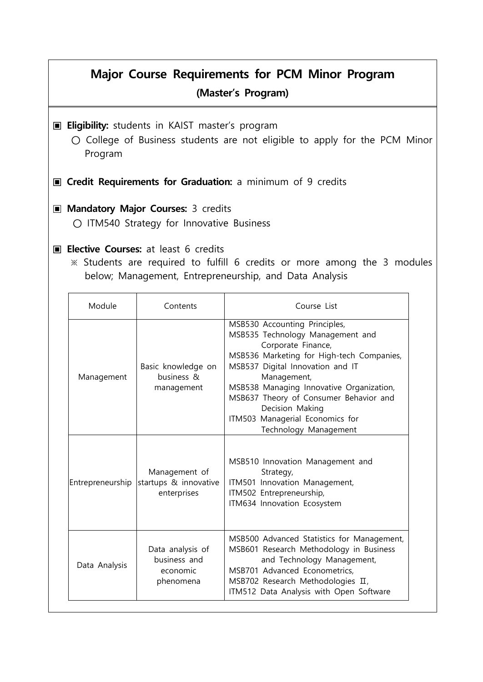## **Major Course Requirements for PCM Minor Program (Master's Program)**

- **I** Eligibility: students in KAIST master's program
	- **○** College of Business students are not eligible to apply for the PCM Minor Program
- **I** Credit Requirements for Graduation: a minimum of 9 credits

## ▣ **Mandatory Major Courses:** 3 credits

**○** ITM540 Strategy for Innovative Business

## **▣ Elective Courses:** at least 6 credits

 ※ Students are required to fulfill 6 credits or more among the 3 modules below; Management, Entrepreneurship, and Data Analysis

| Module           | Contents                                                  | Course List                                                                                                                                                                                                                                                                                                                                                  |
|------------------|-----------------------------------------------------------|--------------------------------------------------------------------------------------------------------------------------------------------------------------------------------------------------------------------------------------------------------------------------------------------------------------------------------------------------------------|
| Management       | Basic knowledge on<br>business &<br>management            | MSB530 Accounting Principles,<br>MSB535 Technology Management and<br>Corporate Finance,<br>MSB536 Marketing for High-tech Companies,<br>MSB537 Digital Innovation and IT<br>Management,<br>MSB538 Managing Innovative Organization,<br>MSB637 Theory of Consumer Behavior and<br>Decision Making<br>ITM503 Managerial Economics for<br>Technology Management |
| Entrepreneurship | Management of<br>startups & innovative<br>enterprises     | MSB510 Innovation Management and<br>Strategy,<br>ITM501 Innovation Management,<br>ITM502 Entrepreneurship,<br>ITM634 Innovation Ecosystem                                                                                                                                                                                                                    |
| Data Analysis    | Data analysis of<br>business and<br>economic<br>phenomena | MSB500 Advanced Statistics for Management,<br>MSB601 Research Methodology in Business<br>and Technology Management,<br>MSB701 Advanced Econometrics,<br>MSB702 Research Methodologies II,<br>ITM512 Data Analysis with Open Software                                                                                                                         |